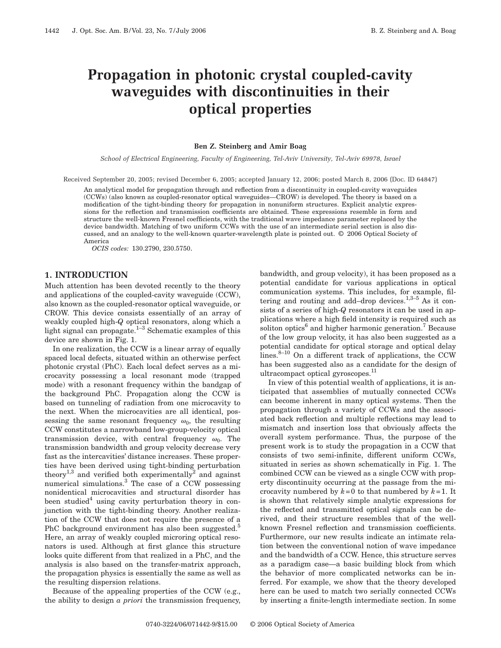# **Propagation in photonic crystal coupled-cavity waveguides with discontinuities in their optical properties**

#### **Ben Z. Steinberg and Amir Boag**

*School of Electrical Engineering, Faculty of Engineering, Tel-Aviv University, Tel-Aviv 69978, Israel*

Received September 20, 2005; revised December 6, 2005; accepted January 12, 2006; posted March 8, 2006 (Doc. ID 64847)

An analytical model for propagation through and reflection from a discontinuity in coupled-cavity waveguides (CCWs) (also known as coupled-resonator optical waveguides—CROW) is developed. The theory is based on a modification of the tight-binding theory for propagation in nonuniform structures. Explicit analytic expressions for the reflection and transmission coefficients are obtained. These expressions resemble in form and structure the well-known Fresnel coefficients, with the traditional wave impedance parameter replaced by the device bandwidth. Matching of two uniform CCWs with the use of an intermediate serial section is also discussed, and an analogy to the well-known quarter-wavelength plate is pointed out. © 2006 Optical Society of America

*OCIS codes:* 130.2790, 230.5750.

# **1. INTRODUCTION**

Much attention has been devoted recently to the theory and applications of the coupled-cavity waveguide (CCW), also known as the coupled-resonator optical waveguide, or CROW. This device consists essentially of an array of weakly coupled high-*Q* optical resonators, along which a light signal can propagate.<sup>1-3</sup> Schematic examples of this device are shown in Fig. 1.

In one realization, the CCW is a linear array of equally spaced local defects, situated within an otherwise perfect photonic crystal (PhC). Each local defect serves as a microcavity possessing a local resonant mode (trapped mode) with a resonant frequency within the bandgap of the background PhC. Propagation along the CCW is based on tunneling of radiation from one microcavity to the next. When the microcavities are all identical, possessing the same resonant frequency  $\omega_0$ , the resulting CCW constitutes a narrowband low-group-velocity optical transmission device, with central frequency  $\omega_0$ . The transmission bandwidth and group velocity decrease very fast as the intercavities' distance increases. These properties have been derived using tight-binding perturbation theory<sup>1,3</sup> and verified both experimentally<sup>2</sup> and against numerical simulations.3 The case of a CCW possessing nonidentical microcavities and structural disorder has been studied<sup>4</sup> using cavity perturbation theory in conjunction with the tight-binding theory. Another realization of the CCW that does not require the presence of a PhC background environment has also been suggested.<sup>5</sup> Here, an array of weakly coupled microring optical resonators is used. Although at first glance this structure looks quite different from that realized in a PhC, and the analysis is also based on the transfer-matrix approach, the propagation physics is essentially the same as well as the resulting dispersion relations.

Because of the appealing properties of the CCW (e.g., the ability to design *a priori* the transmission frequency, bandwidth, and group velocity), it has been proposed as a potential candidate for various applications in optical communication systems. This includes, for example, filtering and routing and add–drop devices.<sup>1,3–5</sup> As it consists of a series of high-*Q* resonators it can be used in applications where a high field intensity is required such as soliton optics<sup>6</sup> and higher harmonic generation.<sup>7</sup> Because of the low group velocity, it has also been suggested as a potential candidate for optical storage and optical delay  $lines.<sup>8-10</sup>$  On a different track of applications, the CCW has been suggested also as a candidate for the design of ultracompact optical gyroscopes.<sup>11</sup>

In view of this potential wealth of applications, it is anticipated that assemblies of mutually connected CCWs can become inherent in many optical systems. Then the propagation through a variety of CCWs and the associated back reflection and multiple reflections may lead to mismatch and insertion loss that obviously affects the overall system performance. Thus, the purpose of the present work is to study the propagation in a CCW that consists of two semi-infinite, different uniform CCWs, situated in series as shown schematically in Fig. 1. The combined CCW can be viewed as a single CCW with property discontinuity occurring at the passage from the microcavity numbered by  $k=0$  to that numbered by  $k=1$ . It is shown that relatively simple analytic expressions for the reflected and transmitted optical signals can be derived, and their structure resembles that of the wellknown Fresnel reflection and transmission coefficients. Furthermore, our new results indicate an intimate relation between the conventional notion of wave impedance and the bandwidth of a CCW. Hence, this structure serves as a paradigm case—a basic building block from which the behavior of more complicated networks can be inferred. For example, we show that the theory developed here can be used to match two serially connected CCWs by inserting a finite-length intermediate section. In some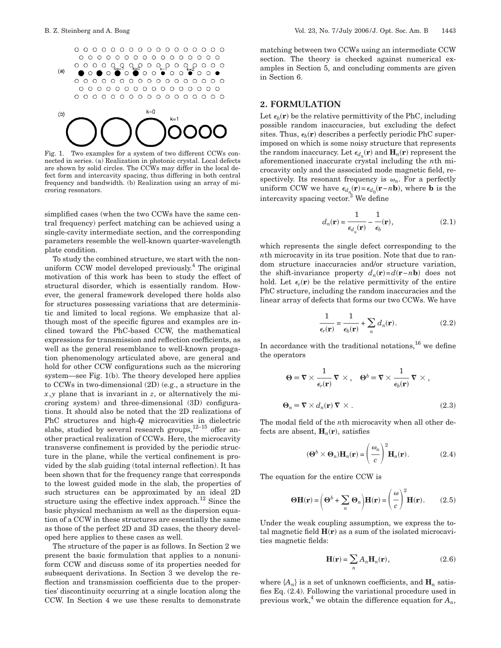



Fig. 1. Two examples for a system of two different CCWs connected in series. (a) Realization in photonic crystal. Local defects are shown by solid circles. The CCWs may differ in the local defect form and intercavity spacing, thus differing in both central frequency and bandwidth. (b) Realization using an array of microring resonators.

simplified cases (when the two CCWs have the same central frequency) perfect matching can be achieved using a single-cavity intermediate section, and the corresponding parameters resemble the well-known quarter-wavelength plate condition.

To study the combined structure, we start with the nonuniform CCW model developed previously. $4$  The original motivation of this work has been to study the effect of structural disorder, which is essentially random. However, the general framework developed there holds also for structures possessing variations that are deterministic and limited to local regions. We emphasize that although most of the specific figures and examples are inclined toward the PhC-based CCW, the mathematical expressions for transmission and reflection coefficients, as well as the general resemblance to well-known propagation phenomenology articulated above, are general and hold for other CCW configurations such as the microring system—see Fig. 1(b). The theory developed here applies to CCWs in two-dimensional (2D) (e.g., a structure in the *x*,*y* plane that is invariant in *z*, or alternatively the microring system) and three-dimensional (3D) configurations. It should also be noted that the 2D realizations of PhC structures and high-*Q* microcavities in dielectric slabs, studied by several research groups, $12-15$  offer another practical realization of CCWs. Here, the microcavity transverse confinement is provided by the periodic structure in the plane, while the vertical confinement is provided by the slab guiding (total internal reflection). It has been shown that for the frequency range that corresponds to the lowest guided mode in the slab, the properties of such structures can be approximated by an ideal 2D structure using the effective index approach.<sup>12</sup> Since the basic physical mechanism as well as the dispersion equation of a CCW in these structures are essentially the same as those of the perfect 2D and 3D cases, the theory developed here applies to these cases as well.

The structure of the paper is as follows. In Section 2 we present the basic formulation that applies to a nonuniform CCW and discuss some of its properties needed for subsequent derivations. In Section 3 we develop the reflection and transmission coefficients due to the properties' discontinuity occurring at a single location along the CCW. In Section 4 we use these results to demonstrate matching between two CCWs using an intermediate CCW section. The theory is checked against numerical examples in Section 5, and concluding comments are given in Section 6.

# **2. FORMULATION**

Let  $\epsilon_b(\mathbf{r})$  be the relative permittivity of the PhC, including possible random inaccuracies, but excluding the defect sites. Thus,  $\epsilon_b(\mathbf{r})$  describes a perfectly periodic PhC superimposed on which is some noisy structure that represents the random inaccuracy. Let  $\epsilon_{d_n}(\mathbf{r})$  and  $\mathbf{H}_n(\mathbf{r})$  represent the aforementioned inaccurate crystal including the *n*th microcavity only and the associated mode magnetic field, respectively. Its resonant frequency is  $\omega_n$ . For a perfectly uniform CCW we have  $\epsilon_{d_n}(\mathbf{r}) = \epsilon_{d_0}(\mathbf{r} - n\mathbf{b})$ , where **b** is the intercavity spacing vector.<sup>3</sup> We define

$$
d_n(\mathbf{r}) = \frac{1}{\epsilon_{d_n}(\mathbf{r})} - \frac{1}{\epsilon_b}(\mathbf{r}),
$$
\n(2.1)

which represents the single defect corresponding to the *n*th microcavity in its true position. Note that due to random structure inaccuracies and/or structure variation, the shift-invariance property  $d_n(\mathbf{r}) = d(\mathbf{r} - n\mathbf{b})$  does not hold. Let  $\epsilon_r(\mathbf{r})$  be the relative permittivity of the entire PhC structure, including the random inaccuracies and the linear array of defects that forms our two CCWs. We have

$$
\frac{1}{\epsilon_r(\mathbf{r})} = \frac{1}{\epsilon_b(\mathbf{r})} + \sum_n d_n(\mathbf{r}).
$$
 (2.2)

In accordance with the traditional notations,  $16$  we define the operators

$$
\Theta \equiv \nabla \times \frac{1}{\epsilon_r(\mathbf{r})} \nabla \times, \quad \Theta^b \equiv \nabla \times \frac{1}{\epsilon_b(\mathbf{r})} \nabla \times,
$$
  

$$
\Theta_n \equiv \nabla \times d_n(\mathbf{r}) \nabla \times.
$$
 (2.3)

The modal field of the *n*th microcavity when all other defects are absent,  $H_n(r)$ , satisfies

$$
(\mathbf{\Theta}^b \times \mathbf{\Theta}_n) \mathbf{H}_n(\mathbf{r}) = \left(\frac{\omega_n}{c}\right)^2 \mathbf{H}_n(\mathbf{r}).
$$
 (2.4)

The equation for the entire CCW is

$$
\Theta \mathbf{H}(\mathbf{r}) = \left(\Theta^b + \sum_n \Theta_n\right) \mathbf{H}(\mathbf{r}) = \left(\frac{\omega}{c}\right)^2 \mathbf{H}(\mathbf{r}).
$$
 (2.5)

Under the weak coupling assumption, we express the total magnetic field  $H(r)$  as a sum of the isolated microcavities magnetic fields:

$$
\mathbf{H}(\mathbf{r}) = \sum_{n} A_{n} \mathbf{H}_{n}(\mathbf{r}),
$$
\n(2.6)

where  $\{A_n\}$  is a set of unknown coefficients, and  $\mathbf{H}_n$  satisfies Eq. (2.4). Following the variational procedure used in previous work,<sup>4</sup> we obtain the difference equation for  $A_n$ ,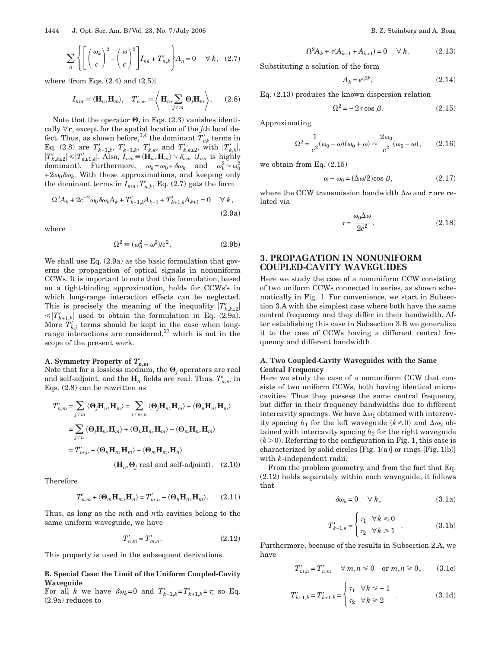$$
\sum_{n} \left\{ \left[ \left( \frac{\omega_k}{c} \right)^2 - \left( \frac{\omega}{c} \right)^2 \right] I_{nk} + T'_{n,k} \right\} A_n = 0 \quad \forall k, \quad (2.7)
$$

where [from Eqs.  $(2.4)$  and  $(2.5)$ ]

$$
I_{nm} \equiv \langle \mathbf{H}_n, \mathbf{H}_m \rangle, \quad T'_{n,m} \equiv \left\langle \mathbf{H}_n, \sum_{j \neq m} \mathbf{\Theta}_j \mathbf{H}_m \right\rangle. \tag{2.8}
$$

Note that the operator  $\mathbf{\Theta}_i$  in Eqs. (2.3) vanishes identically  $\forall$ **r**, except for the spatial location of the *j*th local defect. Thus, as shown before,<sup>3,4</sup> the dominant  $T'_{nk}$  terms in Eq. (2.8) are  $T'_{k+1,k}$ ,  $T'_{k-1,k}$ ,  $T'_{k,k}$ , and  $T'_{k,k\pm 2}$ , with  $|T'_{k,k}|$ ,  $|T'_{k,k\pm 2}| \ll |T'_{k\pm 1,k}|$ . Also,  $I_{nm} \equiv \langle \mathbf{H}_n, \mathbf{H}_m \rangle \approx \delta_{nm}$  ( $I_{nn}$  is highly dominant). Furthermore,  $\omega_k = \omega_0 + \delta \omega_k$  and  $\omega_k^2 \approx \omega_0^2$  $+2\omega_0\delta\omega_k$ . With these approximations, and keeping only the dominant terms in  $I_{mn}$ ,  $T'_{n,k}$ , Eq. (2.7) gets the form

$$
\Omega^2 A_k + 2c^{-2} \omega_0 \delta \omega_k A_k + T'_{k-1,k} A_{k-1} + T'_{k+1,k} A_{k+1} = 0 \quad \forall k,
$$
\n(2.9a)

where

$$
\Omega^2 = (\omega_0^2 - \omega^2)/c^2.
$$
 (2.9b)

We shall use Eq. (2.9a) as the basic formulation that governs the propagation of optical signals in nonuniform CCWs. It is important to note that this formulation, based on a tight-binding approximation, holds for CCWs's in which long-range interaction effects can be neglected. This is precisely the meaning of the inequality  $|T'_{k,k\pm 2}|$  $\ll$   $|T'_{k\pm1,k}|$  used to obtain the formulation in Eq. (2.9a). More  $T'_{k,j}$  terms should be kept in the case when longrange interactions are considered,<sup>17</sup> which is not in the scope of the present work.

# **A.** Symmetry Property of  $T'_{n,m}$

Note that for a lossless medium, the  $\Theta_j$  operators are real and self-adjoint, and the  $\mathbf{H}_n$  fields are real. Thus,  $T'_{n,m}$  in Eqs. (2.8) can be rewritten as

$$
T'_{n,m} = \sum_{j \neq m} \langle \mathbf{\Theta}_j \mathbf{H}_n, \mathbf{H}_m \rangle = \sum_{j \neq m,n} \langle \mathbf{\Theta}_j \mathbf{H}_n, \mathbf{H}_m \rangle + \langle \mathbf{\Theta}_n \mathbf{H}_n, \mathbf{H}_m \rangle
$$
  
= 
$$
\sum_{j \neq n} \langle \mathbf{\Theta}_j \mathbf{H}_n, \mathbf{H}_m \rangle + \langle \mathbf{\Theta}_n \mathbf{H}_n, \mathbf{H}_m \rangle - \langle \mathbf{\Theta}_m \mathbf{H}_n, \mathbf{H}_m \rangle
$$
  
= 
$$
T'_{m,n} + \langle \mathbf{\Theta}_n \mathbf{H}_n, \mathbf{H}_m \rangle - \langle \mathbf{\Theta}_m \mathbf{H}_m, \mathbf{H}_n \rangle
$$

 $(\mathbf{H}_n, \mathbf{\Theta}_j \text{ real and self-adjoint}).$  (2.10)

Therefore

$$
T'_{n,m} + \langle \mathbf{\Theta}_m \mathbf{H}_m, \mathbf{H}_n \rangle = T'_{m,n} + \langle \mathbf{\Theta}_n \mathbf{H}_n, \mathbf{H}_m \rangle. \tag{2.11}
$$

Thus, as long as the *m*th and *n*th cavities belong to the same uniform waveguide, we have

$$
T'_{n,m} = T'_{m,n}.
$$
\n(2.12)

This property is used in the subsequent derivations.

**B. Special Case: the Limit of the Uniform Coupled-Cavity Waveguide**

For all *k* we have  $\delta \omega_k = 0$  and  $T'_{k-1,k} = T'_{k+1,k} = \tau$ , so Eq. (2.9a) reduces to

$$
\Omega^2 A_k + \tau (A_{k-1} + A_{k+1}) = 0 \quad \forall \ k. \tag{2.13}
$$

Substituting a solution of the form

$$
A_k = e^{i\beta k},\tag{2.14}
$$

Eq. (2.13) produces the known dispersion relation

$$
\Omega^2 = -2\tau \cos \beta. \tag{2.15}
$$

Approximating

$$
\Omega^2 = \frac{1}{c^2} (\omega_0 - \omega)(\omega_0 + \omega) \approx \frac{2\omega_0}{c^2} (\omega_0 - \omega), \qquad (2.16)
$$

we obtain from Eq. (2.15)

$$
\omega - \omega_0 = (\Delta \omega/2) \cos \beta, \qquad (2.17)
$$

where the CCW transmission bandwidth  $\Delta \omega$  and  $\tau$  are related via

$$
\tau = \frac{\omega_0 \Delta \omega}{2c^2}.
$$
\n(2.18)

# **3. PROPAGATION IN NONUNIFORM COUPLED-CAVITY WAVEGUIDES**

Here we study the case of a nonuniform CCW consisting of two uniform CCWs connected in series, as shown schematically in Fig. 1. For convenience, we start in Subsection 3.A with the simplest case where both have the same central frequency and they differ in their bandwidth. After establishing this case in Subsection 3.B we generalize it to the case of CCWs having a different central frequency and different bandwidth.

# **A. Two Coupled-Cavity Waveguides with the Same Central Frequency**

Here we study the case of a nonuniform CCW that consists of two uniform CCWs, both having identical microcavities. Thus they possess the same central frequency, but differ in their frequency bandwidths due to different intercavity spacings. We have  $\Delta\omega_1$  obtained with intercavity spacing  $b_1$  for the left waveguide  $(k \le 0)$  and  $\Delta \omega_2$  obtained with intercavity spacing  $b_2$  for the right waveguide  $(k>0)$ . Referring to the configuration in Fig. 1, this case is characterized by solid circles [Fig. 1(a)] or rings [Fig. 1(b)] with *k*-independent radii.

From the problem geometry, and from the fact that Eq. (2.12) holds separately within each waveguide, it follows that

$$
\delta \omega_k = 0 \quad \forall \ k, \tag{3.1a}
$$

$$
T'_{k-1,k} = \begin{cases} \tau_1 & \forall k \le 0 \\ \tau_2 & \forall k \ge 1 \end{cases} \tag{3.1b}
$$

Furthermore, because of the results in Subsection 2.A, we have

$$
T'_{m,n} = T'_{n,m} \quad \forall \, m, n \le 0 \quad \text{or } m, n \ge 0, \qquad (3.1c)
$$

$$
T'_{k-1,k} = T'_{k+1,k} = \begin{cases} \tau_1 & \forall k \le -1 \\ \tau_2 & \forall k \ge 2 \end{cases}
$$
 (3.1d)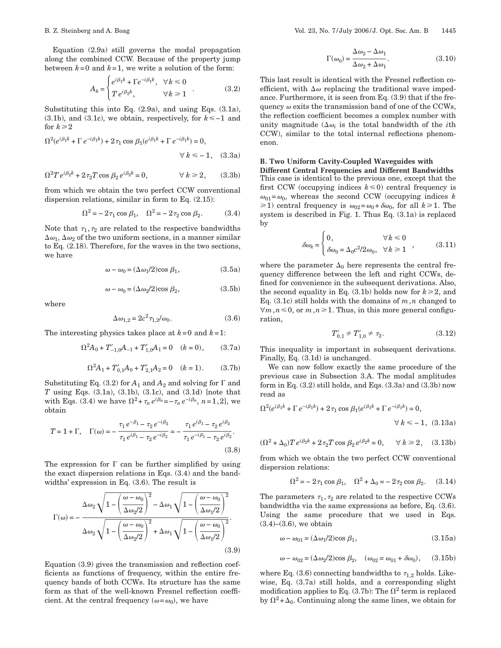Equation (2.9a) still governs the modal propagation along the combined CCW. Because of the property jump between  $k=0$  and  $k=1$ , we write a solution of the form:

$$
A_k = \begin{cases} e^{i\beta_1 k} + \Gamma e^{-i\beta_1 k}, & \forall k \le 0 \\ T e^{i\beta_2 k}, & \forall k \ge 1 \end{cases}
$$
 (3.2)

Substituting this into Eq. (2.9a), and using Eqs. (3.1a),  $(3.1b)$ , and  $(3.1c)$ , we obtain, respectively, for  $k \le -1$  and for  $k \geq 2$ 

$$
\Omega^2(e^{i\beta_1 k} + \Gamma e^{-i\beta_1 k}) + 2\tau_1 \cos \beta_1 (e^{i\beta_1 k} + \Gamma e^{-i\beta_1 k}) = 0,
$$
  

$$
\forall k \le -1, \quad (3.3a)
$$

$$
\Omega^2 T e^{i\beta_2 k} + 2\tau_2 T \cos \beta_2 e^{i\beta_2 k} = 0, \qquad \forall k \ge 2, \qquad (3.3b)
$$

from which we obtain the two perfect CCW conventional dispersion relations, similar in form to Eq. (2.15):

$$
\Omega^2 = -2\tau_1 \cos \beta_1, \quad \Omega^2 = -2\tau_2 \cos \beta_2. \tag{3.4}
$$

Note that  $\tau_1, \tau_2$  are related to the respective bandwidths  $\Delta\omega_1$ ,  $\Delta\omega_2$  of the two uniform sections, in a manner similar to Eq. (2.18). Therefore, for the waves in the two sections, we have

$$
\omega - \omega_0 = (\Delta \omega_1/2) \cos \beta_1, \tag{3.5a}
$$

$$
\omega - \omega_0 = (\Delta \omega_2/2) \cos \beta_2, \tag{3.5b}
$$

where

$$
\Delta \omega_{1,2} = 2c^2 \tau_{1,2}/\omega_0. \tag{3.6}
$$

The interesting physics takes place at  $k=0$  and  $k=1$ :

$$
\Omega^2 A_0 + T'_{-1,0}A_{-1} + T'_{1,0}A_1 = 0 \quad (k = 0), \tag{3.7a}
$$

$$
\Omega^2 A_1 + T'_{0,1} A_0 + T'_{2,1} A_2 = 0 \quad (k = 1). \tag{3.7b}
$$

Substituting Eq. (3.2) for  $A_1$  and  $A_2$  and solving for  $\Gamma$  and *T* using Eqs. (3.1a), (3.1b), (3.1c), and (3.1d) [note that with Eqs. (3.4) we have  $\Omega^2 + \tau_n e^{i\beta_n} = -\tau_n e^{-i\beta_n}, n = 1, 2$ , we obtain

$$
T = 1 + \Gamma, \quad \Gamma(\omega) = -\frac{\tau_1 e^{-\beta_1} - \tau_2 e^{-i\beta_2}}{\tau_1 e^{i\beta_1} - \tau_2 e^{-i\beta_2}} = -\frac{\tau_1 e^{i\beta_1} - \tau_2 e^{i\beta_2}}{\tau_1 e^{-i\beta_1} - \tau_2 e^{i\beta_2}}.
$$
\n(3.8)

The expression for  $\Gamma$  can be further simplified by using the exact dispersion relations in Eqs. (3.4) and the bandwidths' expression in Eq. (3.6). The result is

$$
\Gamma(\omega) = -\frac{\Delta\omega_2\sqrt{1-\left(\frac{\omega-\omega_0}{\Delta\omega_2/2}\right)^2} - \Delta\omega_1\sqrt{1-\left(\frac{\omega-\omega_0}{\Delta\omega_1/2}\right)^2}}{\Delta\omega_2\sqrt{1-\left(\frac{\omega-\omega_0}{\Delta\omega_2/2}\right)^2} + \Delta\omega_1\sqrt{1-\left(\frac{\omega-\omega_0}{\Delta\omega_1/2}\right)^2}}.
$$
\n(3.9)

Equation (3.9) gives the transmission and reflection coefficients as functions of frequency, within the entire frequency bands of both CCWs. Its structure has the same form as that of the well-known Fresnel reflection coefficient. At the central frequency  $(\omega = \omega_0)$ , we have

$$
\Gamma(\omega_0) = \frac{\Delta \omega_2 - \Delta \omega_1}{\Delta \omega_2 + \Delta \omega_1}.
$$
\n(3.10)

This last result is identical with the Fresnel reflection coefficient, with  $\Delta\omega$  replacing the traditional wave impedance. Furthermore, it is seen from Eq. (3.9) that if the frequency  $\omega$  exits the transmission band of one of the CCWs, the reflection coefficient becomes a complex number with unity magnitude ( $\Delta \omega_i$  is the total bandwidth of the *i*th CCW), similar to the total internal reflections phenomenon.

# **B. Two Uniform Cavity-Coupled Waveguides with**

**Different Central Frequencies and Different Bandwidths** This case is identical to the previous one, except that the first CCW (occupying indices  $k \leq 0$ ) central frequency is  $\omega_{01} = \omega_0$ , whereas the second CCW (occupying indices *k*  $\geq 1$ ) central frequency is  $\omega_{02} = \omega_0 + \delta \omega_0$ , for all  $k \geq 1$ . The system is described in Fig. 1. Thus Eq. (3.1a) is replaced by

$$
\delta\omega_k = \begin{cases} 0, & \forall k \leq 0 \\ \delta\omega_0 = \Delta_0 c^2 / 2\omega_0, & \forall k \geq 1 \end{cases}, \eqno{(3.11)}
$$

where the parameter  $\Delta_0$  here represents the central frequency difference between the left and right CCWs, defined for convenience in the subsequent derivations. Also, the second equality in Eq.  $(3.1b)$  holds now for  $k \ge 2$ , and Eq. (3.1c) still holds with the domains of  $m, n$  changed to  $\forall m, n \leq 0$ , or  $m, n \geq 1$ . Thus, in this more general configuration,

$$
T'_{0,1} \neq T'_{1,0} \neq \tau_2. \tag{3.12}
$$

This inequality is important in subsequent derivations. Finally, Eq. (3.1d) is unchanged.

We can now follow exactly the same procedure of the previous case in Subsection 3.A. The modal amplitudes form in Eq.  $(3.2)$  still holds, and Eqs.  $(3.3a)$  and  $(3.3b)$  now read as

$$
\Omega^2(e^{i\beta_1 k} + \Gamma e^{-i\beta_1 k}) + 2\tau_1 \cos \beta_1 (e^{i\beta_1 k} + \Gamma e^{-i\beta_1 k}) = 0,
$$
  

$$
\forall k \le -1, (3.13a)
$$

$$
(\Omega^2 + \Delta_0) T e^{i\beta_2 k} + 2\tau_2 T \cos \beta_2 e^{i\beta_2 k} = 0, \quad \forall k \ge 2, \quad (3.13b)
$$

from which we obtain the two perfect CCW conventional dispersion relations:

$$
\Omega^2 = -2\,\tau_1\cos\,\beta_1, \quad \Omega^2 + \Delta_0 = -2\,\tau_2\cos\,\beta_2. \tag{3.14}
$$

The parameters  $\tau_1, \tau_2$  are related to the respective CCWs bandwidths via the same expressions as before, Eq. (3.6). Using the same procedure that we used in Eqs.  $(3.4)$ – $(3.6)$ , we obtain

$$
\omega - \omega_{01} = (\Delta \omega_1/2)\cos \beta_1, \tag{3.15a}
$$

$$
\omega - \omega_{02} = (\Delta \omega_2/2) \cos \beta_2, \quad (\omega_{02} = \omega_{01} + \delta \omega_0), \quad (3.15b)
$$

where Eq. (3.6) connecting bandwidths to  $\tau_{1,2}$  holds. Likewise, Eq. (3.7a) still holds, and a corresponding slight modification applies to Eq. (3.7b): The  $\Omega^2$  term is replaced by  $\Omega^2 + \Delta_0$ . Continuing along the same lines, we obtain for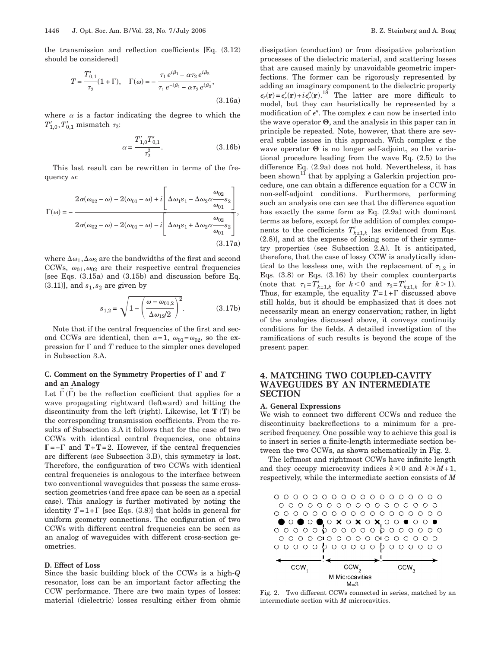the transmission and reflection coefficients [Eq. (3.12) should be considered]

$$
T = \frac{T'_{0,1}}{\tau_2} (1 + \Gamma), \quad \Gamma(\omega) = -\frac{\tau_1 e^{i\beta_1} - \alpha \tau_2 e^{i\beta_2}}{\tau_1 e^{-i\beta_1} - \alpha \tau_2 e^{i\beta_2}},
$$
\n(3.16a)

where  $\alpha$  is a factor indicating the degree to which the  $T'_{1,0}$ ,  $T'_{0,1}$  mismatch  $\tau_2$ :

$$
\alpha = \frac{T'_{1,0} T'_{0,1}}{\tau_2^2}.
$$
\n(3.16b)

This last result can be rewritten in terms of the frequency  $\omega$ :

$$
\Gamma(\omega) = -\frac{2\alpha(\omega_{02}-\omega) - 2(\omega_{01}-\omega) + i\left[\Delta\omega_1s_1 - \Delta\omega_2\alpha\frac{\omega_{02}}{\omega_{01}}s_2\right]}{2\alpha(\omega_{02}-\omega) - 2(\omega_{01}-\omega) - i\left[\Delta\omega_1s_1 + \Delta\omega_2\alpha\frac{\omega_{02}}{\omega_{01}}s_2\right]},
$$
\n(3.17a)

where  $\Delta \omega_1$ ,  $\Delta \omega_2$  are the bandwidths of the first and second CCWs,  $\omega_{01}, \omega_{02}$  are their respective central frequencies [see Eqs. (3.15a) and (3.15b) and discussion before Eq.  $(3.11)$ ], and  $s_1, s_2$  are given by

$$
s_{1,2} = \sqrt{1 - \left(\frac{\omega - \omega_{01,2}}{\Delta \omega_{12}/2}\right)^2}.
$$
 (3.17b)

Note that if the central frequencies of the first and second CCWs are identical, then  $\alpha=1$ ,  $\omega_{01}=\omega_{02}$ , so the expression for  $\Gamma$  and  $T$  reduce to the simpler ones developed in Subsection 3.A.

## C. Comment on the Symmetry Properties of  $\Gamma$  and  $T$ **and an Analogy**

Let  $\vec{\Gamma}(\tilde{\Gamma})$  be the reflection coefficient that applies for a wave propagating rightward (leftward) and hitting the discontinuity from the left (right). Likewise, let **T T**- be the corresponding transmission coefficients. From the results of Subsection 3.A it follows that for the case of two CCWs with identical central frequencies, one obtains =− and **T**+**T**=2. However, if the central frequencies are different (see Subsection 3.B), this symmetry is lost. Therefore, the configuration of two CCWs with identical central frequencies is analogous to the interface between two conventional waveguides that possess the same crosssection geometries (and free space can be seen as a special case). This analogy is further motivated by noting the identity  $T=1+\Gamma$  [see Eqs. (3.8)] that holds in general for uniform geometry connections. The configuration of two CCWs with different central frequencies can be seen as an analog of waveguides with different cross-section geometries.

#### **D. Effect of Loss**

Since the basic building block of the CCWs is a high-*Q* resonator, loss can be an important factor affecting the CCW performance. There are two main types of losses: material (dielectric) losses resulting either from ohmic

dissipation (conduction) or from dissipative polarization processes of the dielectric material, and scattering losses that are caused mainly by unavoidable geometric imperfections. The former can be rigorously represented by adding an imaginary component to the dielectric property  $\epsilon_r(\mathbf{r}) = \epsilon'_r(\mathbf{r}) + i\epsilon''_r(\mathbf{r}).$ <sup>18</sup> The latter are more difficult to model, but they can heuristically be represented by a modification of  $\epsilon$ ". The complex  $\epsilon$  can now be inserted into the wave operator  $\Theta$ , and the analysis in this paper can in principle be repeated. Note, however, that there are several subtle issues in this approach. With complex  $\epsilon$  the wave operator  $\Theta$  is no longer self-adjoint, so the variational procedure leading from the wave Eq. (2.5) to the difference Eq. (2.9a) does not hold. Nevertheless, it has been shown<sup>11</sup> that by applying a Galerkin projection procedure, one can obtain a difference equation for a CCW in non-self-adjoint conditions. Furthermore, performing such an analysis one can see that the difference equation has exactly the same form as Eq. (2.9a) with dominant terms as before, except for the addition of complex components to the coefficients  $T'_{k\pm 1,k}$  [as evidenced from Eqs. (2.8)], and at the expense of losing some of their symmetry properties (see Subsection 2.A). It is anticipated, therefore, that the case of lossy CCW is analytically identical to the lossless one, with the replacement of  $\tau_{1,2}$  in Eqs. (3.8) or Eqs. (3.16) by their complex counterparts (note that  $\tau_1 = T_{k\pm 1,k}$  for  $k < 0$  and  $\tau_2 = T_{k\pm 1,k}$  for  $k > 1$ ). Thus, for example, the equality  $T=1+\Gamma$  discussed above still holds, but it should be emphasized that it does not necessarily mean an energy conservation; rather, in light of the analogies discussed above, it conveys continuity conditions for the fields. A detailed investigation of the ramifications of such results is beyond the scope of the present paper.

# **4. MATCHING TWO COUPLED-CAVITY WAVEGUIDES BY AN INTERMEDIATE SECTION**

#### **A. General Expressions**

We wish to connect two different CCWs and reduce the discontinuity backreflections to a minimum for a prescribed frequency. One possible way to achieve this goal is to insert in series a finite-length intermediate section between the two CCWs, as shown schematically in Fig. 2.

The leftmost and rightmost CCWs have infinite length and they occupy microcavity indices  $k \leq 0$  and  $k \geq M+1$ , respectively, while the intermediate section consists of *M*

Fig. 2. Two different CCWs connected in series, matched by an intermediate section with *M* microcavities.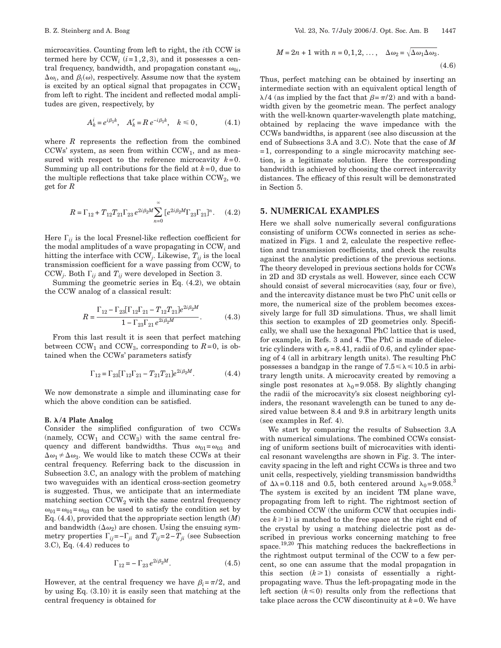microcavities. Counting from left to right, the *i*th CCW is termed here by  $CCW_i$   $(i=1,2,3)$ , and it possesses a central frequency, bandwidth, and propagation constant  $\omega_{0i}$ ,  $\Delta\omega_i$ , and  $\beta_i(\omega)$ , respectively. Assume now that the system is excited by an optical signal that propagates in  $CCW<sub>1</sub>$ from left to right. The incident and reflected modal amplitudes are given, respectively, by

$$
A_k^i = e^{i\beta_1 k}, \quad A_k^r = R \, e^{-i\beta_1 k}, \quad k \le 0, \tag{4.1}
$$

where *R* represents the reflection from the combined CCWs' system, as seen from within  $CCW<sub>1</sub>$ , and as measured with respect to the reference microcavity  $k=0$ . Summing up all contributions for the field at *k*=0, due to the multiple reflections that take place within  $CCW_2$ , we get for *R*

$$
R = \Gamma_{12} + T_{12}T_{21}\Gamma_{23}e^{2i\beta_2M}\sum_{n=0}^{\infty} \left[e^{2i\beta_2M}\Gamma_{23}\Gamma_{21}\right]^n.
$$
 (4.2)

Here  $\Gamma_{ij}$  is the local Fresnel-like reflection coefficient for the modal amplitudes of a wave propagating in CCW*<sup>i</sup>* and hitting the interface with  $CCW_j$ . Likewise,  $T_{ij}$  is the local transmission coefficient for a wave passing from CCW*<sup>i</sup>* to CCW<sub>*j*</sub>. Both  $\Gamma_{ij}$  and  $T_{ij}$  were developed in Section 3.

Summing the geometric series in Eq. (4.2), we obtain the CCW analog of a classical result:

$$
R = \frac{\Gamma_{12} - \Gamma_{23}[\Gamma_{12}\Gamma_{21} - T_{12}T_{21}]e^{2i\beta_2M}}{1 - \Gamma_{23}\Gamma_{21}e^{2i\beta_2M}}.
$$
 (4.3)

From this last result it is seen that perfect matching between  $CCW_1$  and  $CCW_3$ , corresponding to  $R=0$ , is obtained when the CCWs' parameters satisfy

$$
\Gamma_{12} = \Gamma_{23} [\Gamma_{12} \Gamma_{21} - T_{21} T_{21}] e^{2i\beta_2 M}.
$$
 (4.4)

We now demonstrate a simple and illuminating case for which the above condition can be satisfied.

#### **B. /4 Plate Analog**

Consider the simplified configuration of two CCWs (namely,  $CCW_1$  and  $CCW_3$ ) with the same central frequency and different bandwidths. Thus  $\omega_{01} = \omega_{03}$  and  $\Delta \omega_1 \neq \Delta \omega_3$ . We would like to match these CCWs at their central frequency. Referring back to the discussion in Subsection 3.C, an analogy with the problem of matching two waveguides with an identical cross-section geometry is suggested. Thus, we anticipate that an intermediate matching section  $CCW<sub>2</sub>$  with the same central frequency  $\omega_{01} = \omega_{01} = \omega_{03}$  can be used to satisfy the condition set by Eq. (4.4), provided that the appropriate section length *M* and bandwidth  $(\Delta \omega_2)$  are chosen. Using the ensuing symmetry properties  $\Gamma_{ij}$ =- $\Gamma_{ji}$  and  $T_{ij}$ =2- $T_{ji}$  (see Subsection 3.C), Eq. (4.4) reduces to

$$
\Gamma_{12} = -\Gamma_{23} e^{2i\beta_2 M}.
$$
 (4.5)

However, at the central frequency we have  $\beta_i = \pi/2$ , and by using Eq. (3.10) it is easily seen that matching at the central frequency is obtained for

$$
M = 2n + 1 \text{ with } n = 0, 1, 2, \dots, \quad \Delta\omega_2 = \sqrt{\Delta\omega_1 \Delta\omega_3}.
$$
\n(4.6)

Thus, perfect matching can be obtained by inserting an intermediate section with an equivalent optical length of  $\lambda/4$  (as implied by the fact that  $\beta = \pi/2$ ) and with a bandwidth given by the geometric mean. The perfect analogy with the well-known quarter-wavelength plate matching, obtained by replacing the wave impedance with the CCWs bandwidths, is apparent (see also discussion at the end of Subsections 3.A and 3.C). Note that the case of *M* =1, corresponding to a single microcavity matching section, is a legitimate solution. Here the corresponding bandwidth is achieved by choosing the correct intercavity distances. The efficacy of this result will be demonstrated in Section 5.

# **5. NUMERICAL EXAMPLES**

Here we shall solve numerically several configurations consisting of uniform CCWs connected in series as schematized in Figs. 1 and 2, calculate the respective reflection and transmission coefficients, and check the results against the analytic predictions of the previous sections. The theory developed in previous sections holds for CCWs in 2D and 3D crystals as well. However, since each CCW should consist of several microcavities (say, four or five), and the intercavity distance must be two PhC unit cells or more, the numerical size of the problem becomes excessively large for full 3D simulations. Thus, we shall limit this section to examples of 2D geometries only. Specifically, we shall use the hexagonal PhC lattice that is used, for example, in Refs. 3 and 4. The PhC is made of dielectric cylinders with  $\epsilon_r = 8.41$ , radii of 0.6, and cylinder spacing of 4 (all in arbitrary length units). The resulting PhC possesses a bandgap in the range of  $7.5 \le \lambda \le 10.5$  in arbitrary length units. A microcavity created by removing a single post resonates at  $\lambda_0=9.058$ . By slightly changing the radii of the microcavity's six closest neighboring cylinders, the resonant wavelength can be tuned to any desired value between 8.4 and 9.8 in arbitrary length units (see examples in Ref. 4).

We start by comparing the results of Subsection 3.A with numerical simulations. The combined CCWs consisting of uniform sections built of microcavities with identical resonant wavelengths are shown in Fig. 3. The intercavity spacing in the left and right CCWs is three and two unit cells, respectively, yielding transmission bandwidths of  $\Delta\lambda$ =0.118 and 0.5, both centered around  $\lambda_0$ =9.058.<sup>3</sup> The system is excited by an incident TM plane wave, propagating from left to right. The rightmost section of the combined CCW (the uniform CCW that occupies indices  $k \geq 1$ ) is matched to the free space at the right end of the crystal by using a matching dielectric post as described in previous works concerning matching to free space.<sup>19,20</sup> This matching reduces the backreflections in the rightmost output terminal of the CCW to a few percent, so one can assume that the modal propagation in this section  $(k \geq 1)$  consists of essentially a rightpropagating wave. Thus the left-propagating mode in the left section  $(k \leq 0)$  results only from the reflections that take place across the CCW discontinuity at  $k=0$ . We have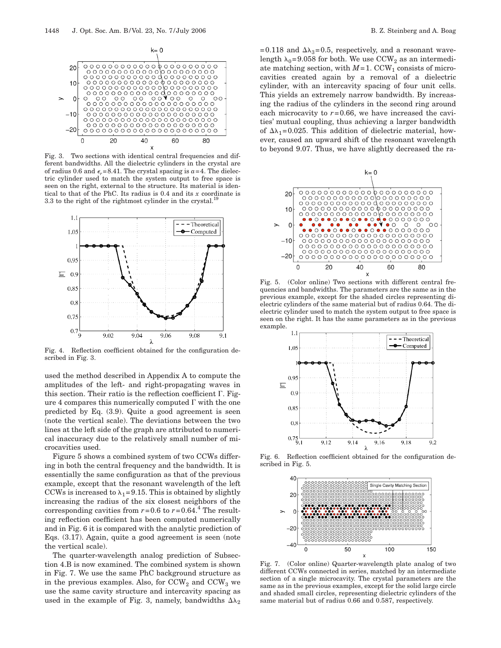

Fig. 3. Two sections with identical central frequencies and different bandwidths. All the dielectric cylinders in the crystal are of radius 0.6 and  $\epsilon_r$ =8.41. The crystal spacing is  $a$ =4. The dielectric cylinder used to match the system output to free space is seen on the right, external to the structure. Its material is identical to that of the PhC. Its radius is 0.4 and its *x* coordinate is 3.3 to the right of the rightmost cylinder in the crystal.<sup>19</sup>



Fig. 4. Reflection coefficient obtained for the configuration described in Fig. 3.

used the method described in Appendix A to compute the amplitudes of the left- and right-propagating waves in this section. Their ratio is the reflection coefficient  $\Gamma$ . Figure 4 compares this numerically computed  $\Gamma$  with the one predicted by Eq. (3.9). Quite a good agreement is seen (note the vertical scale). The deviations between the two lines at the left side of the graph are attributed to numerical inaccuracy due to the relatively small number of microcavities used.

Figure 5 shows a combined system of two CCWs differing in both the central frequency and the bandwidth. It is essentially the same configuration as that of the previous example, except that the resonant wavelength of the left CCWs is increased to  $\lambda_1$ =9.15. This is obtained by slightly increasing the radius of the six closest neighbors of the corresponding cavities from  $r=0.6$  to  $r=0.64$ .<sup>4</sup> The resulting reflection coefficient has been computed numerically and in Fig. 6 it is compared with the analytic prediction of Eqs. (3.17). Again, quite a good agreement is seen (note the vertical scale).

The quarter-wavelength analog prediction of Subsection 4.B is now examined. The combined system is shown in Fig. 7. We use the same PhC background structure as in the previous examples. Also, for  $CCW<sub>2</sub>$  and  $CCW<sub>3</sub>$  we use the same cavity structure and intercavity spacing as used in the example of Fig. 3, namely, bandwidths  $\Delta\lambda_2$ 

=0.118 and  $\Delta\lambda_3$ =0.5, respectively, and a resonant wavelength  $\lambda_0$ =9.058 for both. We use CCW<sub>2</sub> as an intermediate matching section, with  $M=1$ . CCW<sub>1</sub> consists of microcavities created again by a removal of a dielectric cylinder, with an intercavity spacing of four unit cells. This yields an extremely narrow bandwidth. By increasing the radius of the cylinders in the second ring around each microcavity to  $r=0.66$ , we have increased the cavities' mutual coupling, thus achieving a larger bandwidth of  $\Delta\lambda_1=0.025$ . This addition of dielectric material, however, caused an upward shift of the resonant wavelength to beyond 9.07. Thus, we have slightly decreased the ra-



Fig. 5. (Color online) Two sections with different central frequencies and bandwidths. The parameters are the same as in the previous example, except for the shaded circles representing dielectric cylinders of the same material but of radius 0.64. The dielectric cylinder used to match the system output to free space is seen on the right. It has the same parameters as in the previous example.



Fig. 6. Reflection coefficient obtained for the configuration described in Fig. 5.



Fig. 7. (Color online) Quarter-wavelength plate analog of two different CCWs connected in series, matched by an intermediate section of a single microcavity. The crystal parameters are the same as in the previous examples, except for the solid large circle and shaded small circles, representing dielectric cylinders of the same material but of radius 0.66 and 0.587, respectively.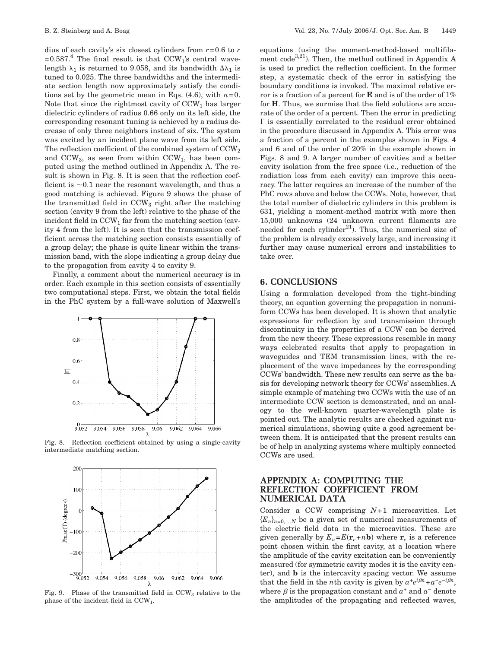dius of each cavity's six closest cylinders from *r*=0.6 to *r*  $=0.587<sup>4</sup>$  The final result is that CCW<sub>1</sub>'s central wavelength  $\lambda_1$  is returned to 9.058, and its bandwidth  $\Delta \lambda_1$  is tuned to 0.025. The three bandwidths and the intermediate section length now approximately satisfy the conditions set by the geometric mean in Eqs.  $(4.6)$ , with  $n=0$ . Note that since the rightmost cavity of  $CCW<sub>1</sub>$  has larger dielectric cylinders of radius 0.66 only on its left side, the corresponding resonant tuning is achieved by a radius decrease of only three neighbors instead of six. The system was excited by an incident plane wave from its left side. The reflection coefficient of the combined system of  $CCW<sub>2</sub>$ and  $CCW_3$ , as seen from within  $CCW_1$ , has been computed using the method outlined in Appendix A. The result is shown in Fig. 8. It is seen that the reflection coefficient is  $\sim 0.1$  near the resonant wavelength, and thus a good matching is achieved. Figure 9 shows the phase of the transmitted field in  $CCW<sub>3</sub>$  right after the matching section (cavity 9 from the left) relative to the phase of the incident field in  $CCW_1$  far from the matching section (cavity 4 from the left). It is seen that the transmission coefficient across the matching section consists essentially of a group delay; the phase is quite linear within the transmission band, with the slope indicating a group delay due to the propagation from cavity 4 to cavity 9.

Finally, a comment about the numerical accuracy is in order. Each example in this section consists of essentially two computational steps. First, we obtain the total fields in the PhC system by a full-wave solution of Maxwell's



Fig. 8. Reflection coefficient obtained by using a single-cavity intermediate matching section.



phase of the incident field in CCW1.

equations (using the moment-method-based multifilament code<sup>3,21</sup>). Then, the method outlined in Appendix A is used to predict the reflection coefficient. In the former step, a systematic check of the error in satisfying the boundary conditions is invoked. The maximal relative error is a fraction of a percent for **E** and is of the order of 1% for **H**. Thus, we surmise that the field solutions are accurate of the order of a percent. Then the error in predicting  $\Gamma$  is essentially correlated to the residual error obtained in the procedure discussed in Appendix A. This error was a fraction of a percent in the examples shown in Figs. 4 and 6 and of the order of 20% in the example shown in Figs. 8 and 9. A larger number of cavities and a better cavity isolation from the free space (i.e., reduction of the radiation loss from each cavity) can improve this accuracy. The latter requires an increase of the number of the PhC rows above and below the CCWs. Note, however, that the total number of dielectric cylinders in this problem is 631, yielding a moment-method matrix with more then 15,000 unknowns (24 unknown current filaments are needed for each cylinder $^{21}$ ). Thus, the numerical size of the problem is already excessively large, and increasing it further may cause numerical errors and instabilities to take over.

# **6. CONCLUSIONS**

Using a formulation developed from the tight-binding theory, an equation governing the propagation in nonuniform CCWs has been developed. It is shown that analytic expressions for reflection by and transmission through discontinuity in the properties of a CCW can be derived from the new theory. These expressions resemble in many ways celebrated results that apply to propagation in waveguides and TEM transmission lines, with the replacement of the wave impedances by the corresponding CCWs' bandwidth. These new results can serve as the basis for developing network theory for CCWs' assemblies. A simple example of matching two CCWs with the use of an intermediate CCW section is demonstrated, and an analogy to the well-known quarter-wavelength plate is pointed out. The analytic results are checked against numerical simulations, showing quite a good agreement between them. It is anticipated that the present results can be of help in analyzing systems where multiply connected CCWs are used.

# **APPENDIX A: COMPUTING THE REFLECTION COEFFICIENT FROM NUMERICAL DATA**

Consider a CCW comprising *N*+1 microcavities. Let  ${E_n}_{n=0...N}$  be a given set of numerical measurements of the electric field data in the microcavities. These are given generally by  $E_n = E(\mathbf{r}_c + n\mathbf{b})$  where  $\mathbf{r}_c$  is a reference point chosen within the first cavity, at a location where the amplitude of the cavity excitation can be conveniently measured (for symmetric cavity modes it is the cavity center), and **b** is the intercavity spacing vector. We assume that the field in the *n*th cavity is given by  $a^+e^{i\beta n} + a^-e^{-i\beta n}$ , where  $\beta$  is the propagation constant and  $a^+$  and  $a^-$  denote the amplitudes of the propagating and reflected waves,